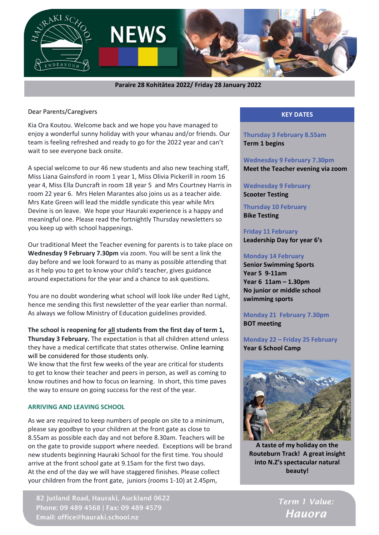

 **Paraire 28 Kohitātea 2022/ Friday 28 January 2022**

Dear Parents/Caregivers

Kia Ora Koutou. Welcome back and we hope you have managed to enjoy a wonderful sunny holiday with your whanau and/or friends. Our team is feeling refreshed and ready to go for the 2022 year and can't wait to see everyone back onsite.

A special welcome to our 46 new students and also new teaching staff, Miss Liana Gainsford in room 1 year 1, Miss Olivia Pickerill in room 16 year 4, Miss Ella Duncraft in room 18 year 5 and Mrs Courtney Harris in room 22 year 6. Mrs Helen Marantes also joins us as a teacher aide. Mrs Kate Green will lead the middle syndicate this year while Mrs Devine is on leave. We hope your Hauraki experience is a happy and meaningful one. Please read the fortnightly Thursday newsletters so you keep up with school happenings.

Our traditional Meet the Teacher evening for parents is to take place on **Wednesday 9 February 7.30pm** via zoom. You will be sent a link the day before and we look forward to as many as possible attending that as it help you to get to know your child's teacher, gives guidance around expectations for the year and a chance to ask questions.

You are no doubt wondering what school will look like under Red Light, hence me sending this first newsletter of the year earlier than normal. As always we follow Ministry of Education guidelines provided.

**The school is reopening for all students from the first day of term 1, Thursday 3 February.** The expectation is that all children attend unless they have a medical certificate that states otherwise. Online learning will be considered for those students only.

We know that the first few weeks of the year are critical for students to get to know their teacher and peers in person, as well as coming to know routines and how to focus on learning. In short, this time paves the way to ensure on going success for the rest of the year.

### **ARRIVING AND LEAVING SCHOOL**

As we are required to keep numbers of people on site to a minimum, please say goodbye to your children at the front gate as close to 8.55am as possible each day and not before 8.30am. Teachers will be on the gate to provide support where needed. Exceptions will be brand new students beginning Hauraki School for the first time. You should arrive at the front school gate at 9.15am for the first two days. At the end of the day we will have staggered finishes. Please collect your children from the front gate, juniors (rooms 1-10) at 2.45pm,

82 Jutland Road, Hauraki, Auckland 0622 Phone: 09 489 4568 | Fax: 09 489 4579 Email: office@hauraki.school.nz

# **KEY DATES**

**Thursday 3 February 8.55am Term 1 begins**

**Wednesday 9 February 7.30pm Meet the Teacher evening via zoom**

# **Wednesday 9 February Scooter Testing**

**Thursday 10 February Bike Testing**

**Friday 11 February Leadership Day for year 6's**

#### **Monday 14 February**

**Senior Swimming Sports Year 5 9-11am Year 6 11am – 1.30pm No junior or middle school swimming sports**

**Monday 21 February 7.30pm BOT meeting**

**Monday 22 – Friday 25 February Year 6 School Camp**



**A taste of my holiday on the Routeburn Track! A great insight into N.Z's spectacular natural beauty!**

> Term 1 Value: **Hauora**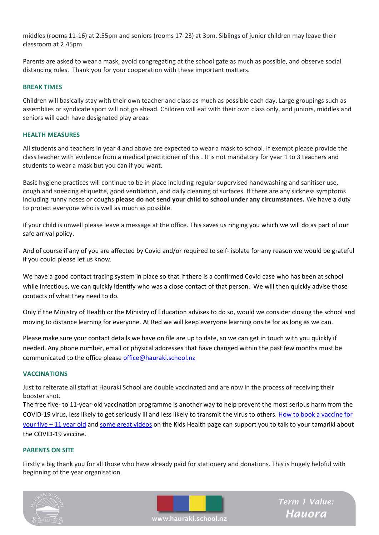middles (rooms 11-16) at 2.55pm and seniors (rooms 17-23) at 3pm. Siblings of junior children may leave their classroom at 2.45pm.

Parents are asked to wear a mask, avoid congregating at the school gate as much as possible, and observe social distancing rules. Thank you for your cooperation with these important matters.

### **BREAK TIMES**

Children will basically stay with their own teacher and class as much as possible each day. Large groupings such as assemblies or syndicate sport will not go ahead. Children will eat with their own class only, and juniors, middles and seniors will each have designated play areas.

#### **HEALTH MEASURES**

All students and teachers in year 4 and above are expected to wear a mask to school. If exempt please provide the class teacher with evidence from a medical practitioner of this . It is not mandatory for year 1 to 3 teachers and students to wear a mask but you can if you want.

Basic hygiene practices will continue to be in place including regular supervised handwashing and sanitiser use, cough and sneezing etiquette, good ventilation, and daily cleaning of surfaces. If there are any sickness symptoms including runny noses or coughs **please do not send your child to school under any circumstances.** We have a duty to protect everyone who is well as much as possible.

If your child is unwell please leave a message at the office. This saves us ringing you which we will do as part of our safe arrival policy.

And of course if any of you are affected by Covid and/or required to self- isolate for any reason we would be grateful if you could please let us know.

We have a good contact tracing system in place so that if there is a confirmed Covid case who has been at school while infectious, we can quickly identify who was a close contact of that person. We will then quickly advise those contacts of what they need to do.

Only if the Ministry of Health or the Ministry of Education advises to do so, would we consider closing the school and moving to distance learning for everyone. At Red we will keep everyone learning onsite for as long as we can.

Please make sure your contact details we have on file are up to date, so we can get in touch with you quickly if needed. Any phone number, email or physical addresses that have changed within the past few months must be communicated to the office please [office@hauraki.school.nz](mailto:office@hauraki.school.nz)

#### **VACCINATIONS**

Just to reiterate all staff at Hauraki School are double vaccinated and are now in the process of receiving their booster shot.

The free five- to 11-year-old vaccination programme is another way to help prevent the most serious harm from the COVID-19 virus, less likely to get seriously ill and less likely to transmit the virus to others. [How to book a vaccine for](https://covid19.govt.nz/covid-19-vaccines/get-the-facts-about-covid-19-vaccination/covid-19-vaccination-and-children/#book)  your five – [11 year old](https://covid19.govt.nz/covid-19-vaccines/get-the-facts-about-covid-19-vaccination/covid-19-vaccination-and-children/#book) and [some great videos](https://www.kidshealth.org.nz/covid-19-immunisation-5-11-year-olds) on the Kids Health page can support you to talk to your tamariki about the COVID-19 vaccine.

# **PARENTS ON SITE**

Firstly a big thank you for all those who have already paid for stationery and donations. This is hugely helpful with beginning of the year organisation.





Term 1 Value: **Hauora** 

www.hauraki.school.nz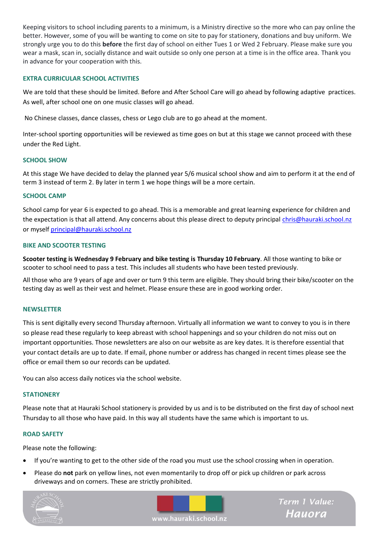Keeping visitors to school including parents to a minimum, is a Ministry directive so the more who can pay online the better. However, some of you will be wanting to come on site to pay for stationery, donations and buy uniform. We strongly urge you to do this **before** the first day of school on either Tues 1 or Wed 2 February. Please make sure you wear a mask, scan in, socially distance and wait outside so only one person at a time is in the office area. Thank you in advance for your cooperation with this.

# **EXTRA CURRICULAR SCHOOL ACTIVITIES**

We are told that these should be limited. Before and After School Care will go ahead by following adaptive practices. As well, after school one on one music classes will go ahead.

No Chinese classes, dance classes, chess or Lego club are to go ahead at the moment.

Inter-school sporting opportunities will be reviewed as time goes on but at this stage we cannot proceed with these under the Red Light.

### **SCHOOL SHOW**

At this stage We have decided to delay the planned year 5/6 musical school show and aim to perform it at the end of term 3 instead of term 2. By later in term 1 we hope things will be a more certain.

### **SCHOOL CAMP**

School camp for year 6 is expected to go ahead. This is a memorable and great learning experience for children and the expectation is that all attend. Any concerns about this please direct to deputy principal [chris@hauraki.school.nz](mailto:chris@hauraki.school.nz) or myself [principal@hauraki.school.nz](mailto:principal@hauraki.school.nz)

### **BIKE AND SCOOTER TESTING**

**Scooter testing is Wednesday 9 February and bike testing is Thursday 10 February**. All those wanting to bike or scooter to school need to pass a test. This includes all students who have been tested previously.

All those who are 9 years of age and over or turn 9 this term are eligible. They should bring their bike/scooter on the testing day as well as their vest and helmet. Please ensure these are in good working order.

### **NEWSLETTER**

This is sent digitally every second Thursday afternoon. Virtually all information we want to convey to you is in there so please read these regularly to keep abreast with school happenings and so your children do not miss out on important opportunities. Those newsletters are also on our website as are key dates. It is therefore essential that your contact details are up to date. If email, phone number or address has changed in recent times please see the office or email them so our records can be updated.

You can also access daily notices via the school website.

### **STATIONERY**

Please note that at Hauraki School stationery is provided by us and is to be distributed on the first day of school next Thursday to all those who have paid. In this way all students have the same which is important to us.

### **ROAD SAFETY**

Please note the following:

- If you're wanting to get to the other side of the road you must use the school crossing when in operation.
- Please do **not** park on yellow lines, not even momentarily to drop off or pick up children or park across driveways and on corners. These are strictly prohibited.





Term 1 Value: **Hauora** 

www.hauraki.school.nz